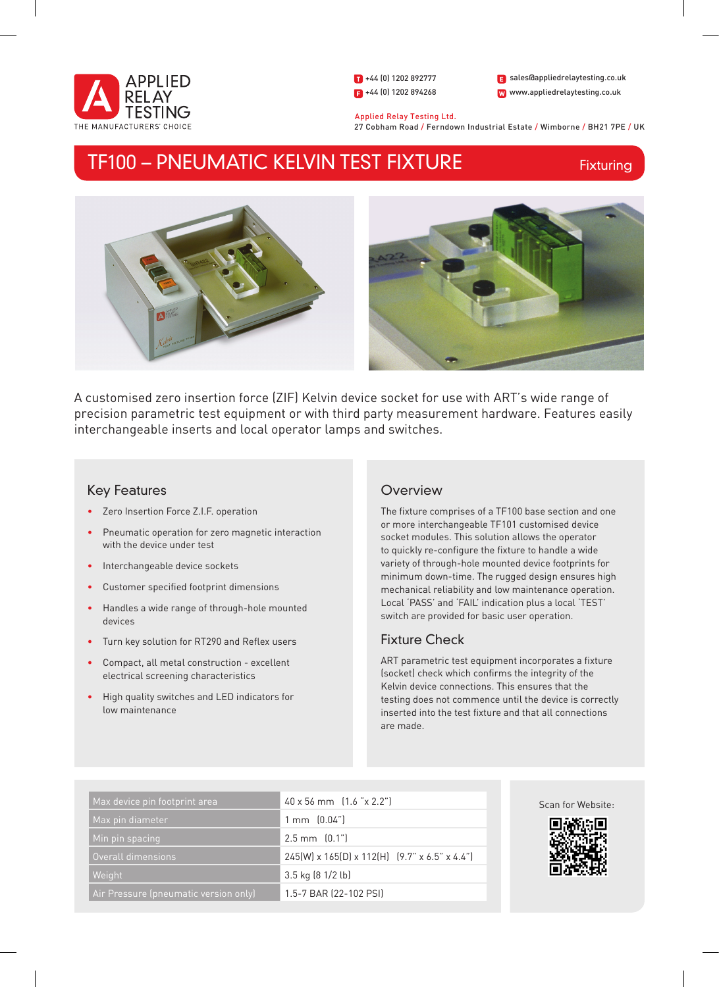

1 +44 (0) 1202 892777  $\bullet$  +44 (0) 1202 894268 W www.appliedrelaytesting.co.uk sales@appliedrelaytesting.co.uk

 Applied Relay Testing Ltd. 27 Cobham Road / Ferndown Industrial Estate / Wimborne / BH21 7PE / UK

# TF100 – PNEUMATIC KELVIN TEST FIXTURE

Fixturing



A customised zero insertion force (ZIF) Kelvin device socket for use with ART's wide range of precision parametric test equipment or with third party measurement hardware. Features easily interchangeable inserts and local operator lamps and switches.

# Key Features

- • Zero Insertion Force Z.I.F. operation
- Pneumatic operation for zero magnetic interaction with the device under test
- Interchangeable device sockets
- • Customer specified footprint dimensions
- • Handles a wide range of through-hole mounted devices
- Turn key solution for RT290 and Reflex users
- Compact, all metal construction excellent electrical screening characteristics
- High quality switches and LED indicators for low maintenance

## **Overview**

The fixture comprises of a TF100 base section and one or more interchangeable TF101 customised device socket modules. This solution allows the operator to quickly re-configure the fixture to handle a wide variety of through-hole mounted device footprints for minimum down-time. The rugged design ensures high mechanical reliability and low maintenance operation. Local 'PASS' and 'FAIL' indication plus a local 'TEST' switch are provided for basic user operation.

## Fixture Check

ART parametric test equipment incorporates a fixture (socket) check which confirms the integrity of the Kelvin device connections. This ensures that the testing does not commence until the device is correctly inserted into the test fixture and that all connections are made.

| Max device pin footprint area         | $40 \times 56$ mm $(1.6$ " $\times$ 2.2"                       |
|---------------------------------------|----------------------------------------------------------------|
| Max pin diameter                      | $1 \text{ mm}$ $(0.04")$                                       |
| Min pin spacing                       | $2.5$ mm $[0.1$ "                                              |
| Overall dimensions                    | $245(W)$ x 165(D) x 112(H) $(9.7'' \times 6.5'' \times 4.4'')$ |
| Weight                                | 3.5 kg (8 1/2 lb)                                              |
| Air Pressure (pneumatic version only) | 1.5-7 BAR (22-102 PSI)                                         |